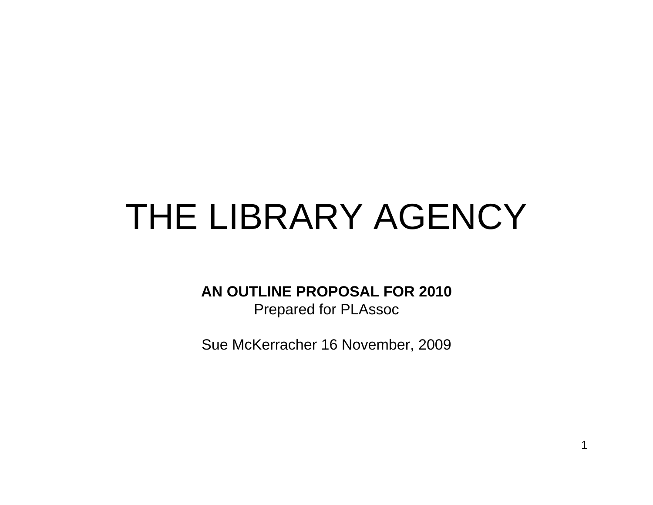# THE LIBRARY AGENCY

## **AN OUTLINE PROPOSAL FOR 2010**

Prepared for PLAssoc

Sue McKerracher 16 November, 2009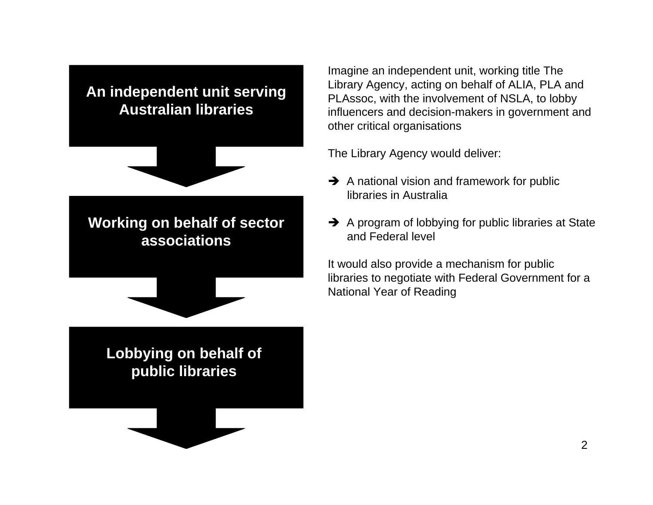## **An independent unit serving Australian libraries**



## **Working on behalf of sector associations**



## **Lobbying on behalf of public libraries**

Imagine an independent unit, working title The Library Agency, acting on behalf of ALIA, PLA and PLAssoc, with the involvement of NSLA, to lobby influencers and decision-makers in government and other critical organisations

The Library Agency would deliver:

- $\rightarrow$  A national vision and framework for public libraries in Australia
- $\rightarrow$  A program of lobbying for public libraries at State and Federal level

It would also provide a mechanism for public libraries to negotiate with Federal Government for a National Year of Reading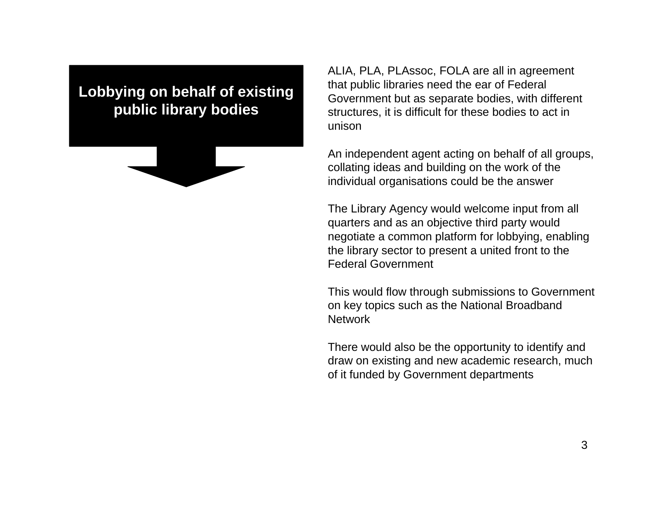## **Lobbying on behalf of existing public library bodies**



ALIA, PLA, PLAssoc, FOLA are all in agreement that public libraries need the ear of Federal Government but as separate bodies, with different structures, it is difficult for these bodies to act in unison

An independent agent acting on behalf of all groups, collating ideas and building on the work of the individual organisations could be the answer

The Library Agency would welcome input from all quarters and as an objective third party would negotiate a common platform for lobbying, enabling the library sector to present a united front to the Federal Government

This would flow through submissions to Government on key topics such as the National Broadband **Network** 

There would also be the opportunity to identify and draw on existing and new academic research, much of it funded by Government departments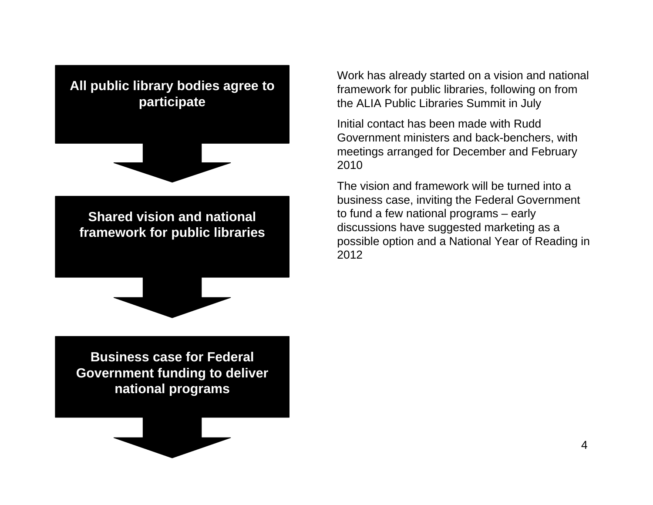

Work has already started on a vision and national framework for public libraries, following on from the ALIA Public Libraries Summit in July

Initial contact has been made with Rudd Government ministers and back-benchers, with meetings arranged for December and February 2010

The vision and framework will be turned into a business case, inviting the Federal Government to fund a few national programs – early discussions have suggested marketing as a possible option and a National Year of Reading in 2012

**Business case for Federal Government funding to deliver national programs**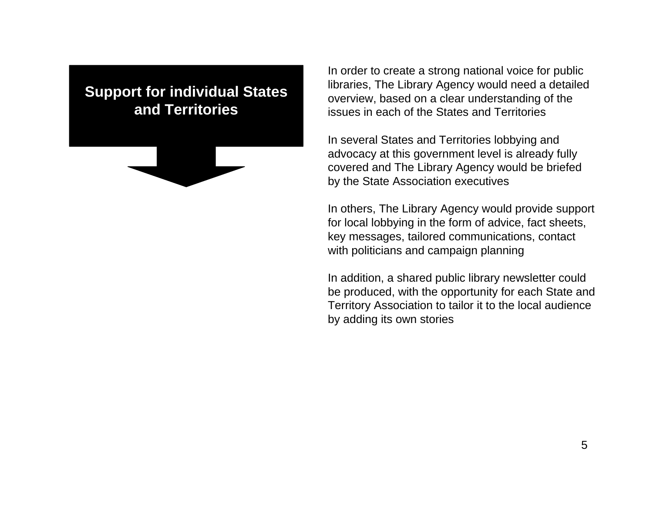## **Support for individual States and Territories**



In order to create a strong national voice for public libraries, The Library Agency would need a detailed overview, based on a clear understanding of the issues in each of the States and Territories

In several States and Territories lobbying and advocacy at this government level is already fully covered and The Library Agency would be briefed by the State Association executives

In others, The Library Agency would provide support for local lobbying in the form of advice, fact sheets, key messages, tailored communications, contact with politicians and campaign planning

In addition, a shared public library newsletter could be produced, with the opportunity for each State and Territory Association to tailor it to the local audience by adding its own stories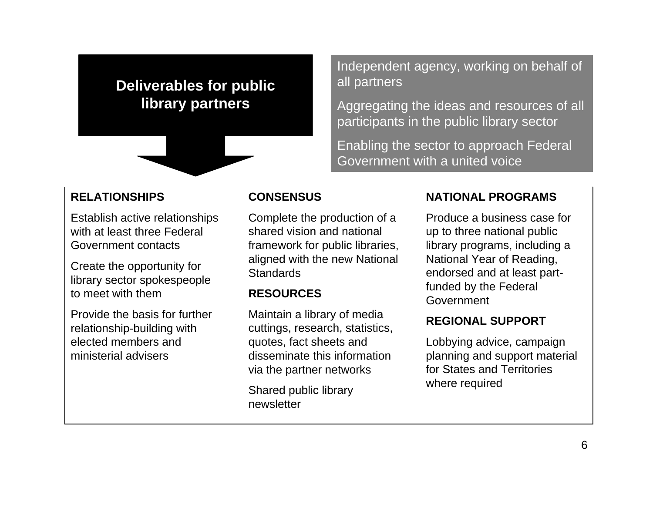## **Deliverables for public library partners**



Independent agency, working on behalf of all partners

Aggregating the ideas and resources of all participants in the public library sector

Enabling the sector to approach Federal Government with a united voice

### **RELATIONSHIPS**

Establish active relationships with at least three Federal Government contacts

Create the opportunity for library sector spokespeople to meet with them

Provide the basis for further relationship-building with elected members and ministerial advisers

### **CONSENSUS**

Complete the production of a shared vision and national framework for public libraries, aligned with the new National **Standards** 

#### **RESOURCES**

Maintain a library of media cuttings, research, statistics, quotes, fact sheets and disseminate this information via the partner networks

Shared public library newsletter

#### **NATIONAL PROGRAMS**

Produce a business case for up to three national public library programs, including a National Year of Reading, endorsed and at least partfunded by the Federal Government

### **REGIONAL SUPPORT**

Lobbying advice, campaign planning and support material for States and Territories where required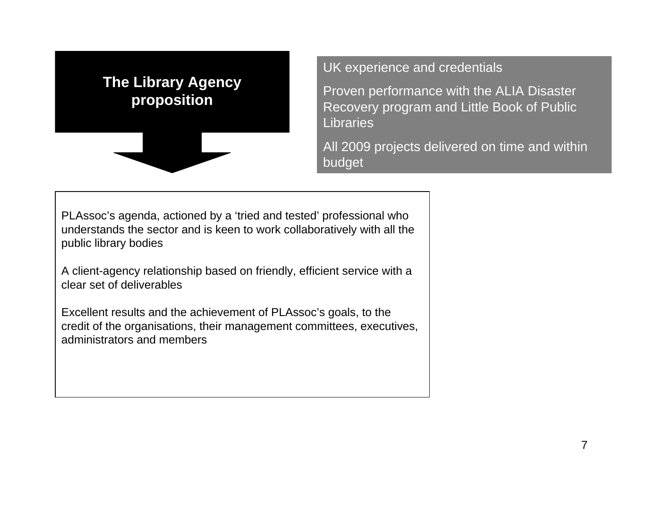# **The Library Agency proposition**

UK experience and credentials

Proven performance with the ALIA Disaster Recovery program and Little Book of Public Libraries

All 2009 projects delivered on time and within budget

PLAssoc's agenda, actioned by a 'tried and tested' professional who understands the sector and is keen to work collaboratively with all the public library bodies

A client-agency relationship based on friendly, efficient service with a clear set of deliverables

Excellent results and the achievement of PLAssoc's goals, to the credit of the organisations, their management committees, executives, administrators and members